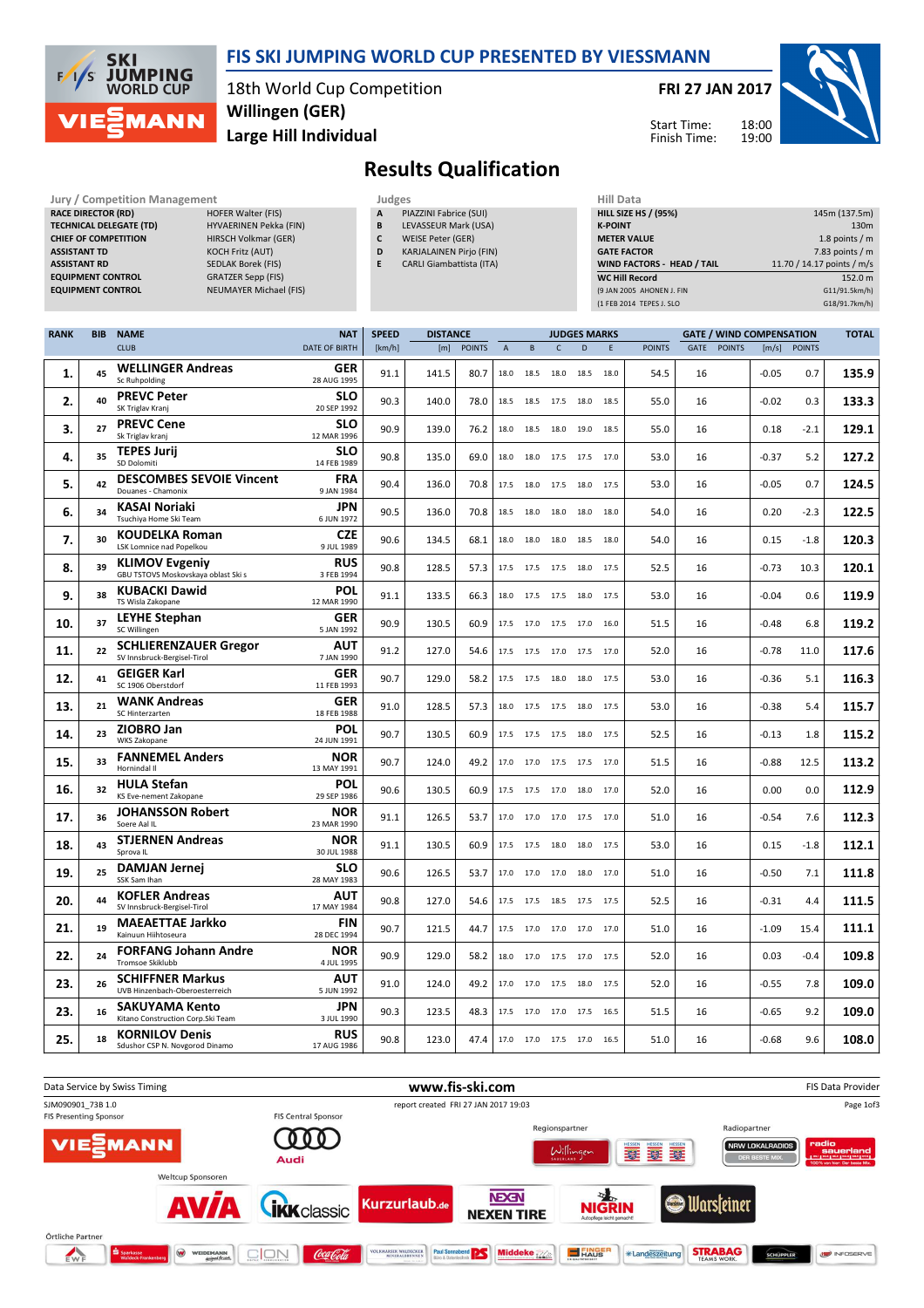

### FIS SKI JUMPING WORLD CUP PRESENTED BY VIESSMANN

18th World Cup Competition Large Hill Individual Willingen (GER)

FRI 27 JAN 2017



Start Time: Finish Time:

## Results Qualification

| <b>Jury / Competition Management</b> |                           | Judges       |                                 | <b>Hill Data</b>   |
|--------------------------------------|---------------------------|--------------|---------------------------------|--------------------|
| <b>RACE DIRECTOR (RD)</b>            | <b>HOFER Walter (FIS)</b> | $\mathbf{A}$ | PIAZZINI Fabrice (SUI)          | <b>HILL SIZE H</b> |
| <b>TECHNICAL DELEGATE (TD)</b>       | HYVAERINEN Pekka (FIN)    | в            | LEVASSEUR Mark (USA)            | <b>K-POINT</b>     |
| <b>CHIEF OF COMPETITION</b>          | HIRSCH Volkmar (GER)      |              | WEISE Peter (GER)               | <b>METER VAI</b>   |
| <b>ASSISTANT TD</b>                  | <b>KOCH Fritz (AUT)</b>   | D            | <b>KARJALAINEN Pirjo (FIN)</b>  | <b>GATE FACT</b>   |
| <b>ASSISTANT RD</b>                  | <b>SEDLAK Borek (FIS)</b> |              | <b>CARLI Giambattista (ITA)</b> | <b>WIND FACT</b>   |
| <b>EQUIPMENT CONTROL</b>             | <b>GRATZER Sepp (FIS)</b> |              |                                 | <b>WC Hill Red</b> |
| <b>FOUIPMENT CONTROL</b>             | NELIMAYER Michael (FIS)   |              |                                 | (9 IAN 2005)       |

- A PIAZZINI Fabrice (SUI) B LEVASSEUR Mark (USA)
- C WEISE Peter (GER)
- D KARJALAINEN Pirjo (FIN)
- E CARLI Giambattista (ITA)

| пш мата                           |                            |
|-----------------------------------|----------------------------|
| <b>HILL SIZE HS / (95%)</b>       | 145m (137.5m)              |
| <b>K-POINT</b>                    | 130 <sub>m</sub>           |
| <b>METER VALUE</b>                | 1.8 points $/m$            |
| <b>GATE FACTOR</b>                | 7.83 points $/m$           |
| <b>WIND FACTORS - HEAD / TAIL</b> | 11.70 / 14.17 points / m/s |
| <b>WC Hill Record</b>             | 152.0 m                    |
| (9 JAN 2005 AHONEN J. FIN         | G11/91.5km/h)              |
| (1 FEB 2014 TEPES J. SLO          | G18/91.7km/h)              |

| <b>RANK</b> | <b>BIB</b> | <b>NAME</b>                                                   | <b>NAT</b>                              | <b>SPEED</b> | <b>DISTANCE</b> |               | <b>GATE / WIND COMPENSATION</b><br><b>JUDGES MARKS</b> |           |              |                          |      |               | <b>TOTAL</b> |               |         |               |       |
|-------------|------------|---------------------------------------------------------------|-----------------------------------------|--------------|-----------------|---------------|--------------------------------------------------------|-----------|--------------|--------------------------|------|---------------|--------------|---------------|---------|---------------|-------|
|             |            | <b>CLUB</b>                                                   | <b>DATE OF BIRTH</b>                    | [km/h]       | [m]             | <b>POINTS</b> | $\overline{A}$                                         | B         | $\mathsf{C}$ | D                        | E    | <b>POINTS</b> | GATE         | <b>POINTS</b> | [m/s]   | <b>POINTS</b> |       |
| 1.          | 45         | <b>WELLINGER Andreas</b><br><b>Sc Ruhpolding</b>              | <b>GER</b><br>28 AUG 1995               | 91.1         | 141.5           | 80.7          | 18.0                                                   | 18.5      | 18.0         | 18.5                     | 18.0 | 54.5          | 16           |               | -0.05   | 0.7           | 135.9 |
| 2.          | 40         | <b>PREVC Peter</b><br>SK Triglav Kranj                        | <b>SLO</b><br>20 SEP 1992               | 90.3         | 140.0           | 78.0          | 18.5                                                   | 18.5      |              | 17.5 18.0                | 18.5 | 55.0          | 16           |               | $-0.02$ | 0.3           | 133.3 |
| 3.          | 27         | <b>PREVC Cene</b><br>Sk Triglav kranj                         | <b>SLO</b><br>12 MAR 1996               | 90.9         | 139.0           | 76.2          | 18.0                                                   | 18.5      | 18.0         | 19.0                     | 18.5 | 55.0          | 16           |               | 0.18    | $-2.1$        | 129.1 |
| 4.          | 35         | <b>TEPES Jurii</b><br>SD Dolomiti                             | <b>SLO</b><br>14 FEB 1989               | 90.8         | 135.0           | 69.0          | 18.0                                                   | 18.0      |              | 17.5 17.5 17.0           |      | 53.0          | 16           |               | $-0.37$ | 5.2           | 127.2 |
| 5.          | 42         | <b>DESCOMBES SEVOIE Vincent</b><br>Douanes - Chamonix         | <b>FRA</b><br>9 JAN 1984                | 90.4         | 136.0           | 70.8          | 17.5                                                   | 18.0      | 17.5         | 18.0 17.5                |      | 53.0          | 16           |               | $-0.05$ | 0.7           | 124.5 |
| 6.          | 34         | <b>KASAI Noriaki</b><br>Tsuchiya Home Ski Team                | <b>JPN</b><br>6 JUN 1972                | 90.5         | 136.0           | 70.8          | 18.5                                                   | 18.0      | 18.0         | 18.0                     | 18.0 | 54.0          | 16           |               | 0.20    | $-2.3$        | 122.5 |
| 7.          | 30         | <b>KOUDELKA Roman</b><br><b>LSK Lomnice nad Popelkou</b>      | CZE<br>9 JUL 1989                       | 90.6         | 134.5           | 68.1          | 18.0                                                   | 18.0      | 18.0         | 18.5                     | 18.0 | 54.0          | 16           |               | 0.15    | $-1.8$        | 120.3 |
| 8.          | 39         | <b>KLIMOV Evgeniy</b><br>GBU TSTOVS Moskovskaya oblast Ski s  | <b>RUS</b><br>3 FEB 1994                | 90.8         | 128.5           | 57.3          | 17.5                                                   | 17.5      | 17.5         | 18.0                     | 17.5 | 52.5          | 16           |               | $-0.73$ | 10.3          | 120.1 |
| 9.          | 38         | <b>KUBACKI Dawid</b><br>TS Wisla Zakopane                     | POL<br>12 MAR 1990                      | 91.1         | 133.5           | 66.3          | 18.0                                                   |           |              | 17.5 17.5 18.0 17.5      |      | 53.0          | 16           |               | $-0.04$ | 0.6           | 119.9 |
| 10.         | 37         | <b>LEYHE Stephan</b><br>SC Willingen                          | <b>GER</b><br>5 JAN 1992                | 90.9         | 130.5           | 60.9          | 17.5                                                   |           |              | 17.0 17.5 17.0 16.0      |      | 51.5          | 16           |               | $-0.48$ | 6.8           | 119.2 |
| 11.         | 22         | <b>SCHLIERENZAUER Gregor</b><br>SV Innsbruck-Bergisel-Tirol   | <b>AUT</b><br>7 JAN 1990                | 91.2         | 127.0           | 54.6          | 17.5                                                   | 17.5      |              | 17.0 17.5 17.0           |      | 52.0          | 16           |               | $-0.78$ | 11.0          | 117.6 |
| 12.         | 41         | <b>GEIGER Karl</b><br>SC 1906 Oberstdorf                      | <b>GER</b><br>11 FEB 1993               | 90.7         | 129.0           | 58.2          | 17.5                                                   | 17.5      | 18.0         | 18.0 17.5                |      | 53.0          | 16           |               | $-0.36$ | 5.1           | 116.3 |
| 13.         | 21         | <b>WANK Andreas</b><br>SC Hinterzarten                        | <b>GER</b><br>18 FEB 1988               | 91.0         | 128.5           | 57.3          | 18.0                                                   | 17.5      | 17.5         | 18.0                     | 17.5 | 53.0          | 16           |               | $-0.38$ | 5.4           | 115.7 |
| 14.         | 23         | ZIOBRO Jan<br>WKS Zakopane                                    | <b>POL</b><br>24 JUN 1991               | 90.7         | 130.5           | 60.9          | 17.5                                                   | 17.5      | 17.5         | 18.0                     | 17.5 | 52.5          | 16           |               | $-0.13$ | 1.8           | 115.2 |
| 15.         | 33         | <b>FANNEMEL Anders</b><br>Hornindal II                        | <b>NOR</b><br>13 MAY 1991               | 90.7         | 124.0           | 49.2          | 17.0                                                   | 17.0      |              | 17.5 17.5 17.0           |      | 51.5          | 16           |               | $-0.88$ | 12.5          | 113.2 |
| 16.         | 32         | <b>HULA Stefan</b><br>KS Eve-nement Zakopane                  | POL<br>29 SEP 1986                      | 90.6         | 130.5           | 60.9          |                                                        | 17.5 17.5 |              | 17.0 18.0 17.0           |      | 52.0          | 16           |               | 0.00    | 0.0           | 112.9 |
| 17.         | 36         | <b>JOHANSSON Robert</b><br>Soere Aal IL                       | <b>NOR</b><br>23 MAR 1990               | 91.1         | 126.5           | 53.7          | 17.0                                                   | 17.0      |              | 17.0 17.5 17.0           |      | 51.0          | 16           |               | $-0.54$ | 7.6           | 112.3 |
| 18.         | 43         | <b>STJERNEN Andreas</b><br>Sprova IL                          | NOR<br>30 JUL 1988                      | 91.1         | 130.5           | 60.9          | 17.5                                                   | 17.5      | 18.0         | 18.0                     | 17.5 | 53.0          | 16           |               | 0.15    | $-1.8$        | 112.1 |
| 19.         | 25         | <b>DAMJAN Jernej</b><br>SSK Sam Ihan<br><b>KOFLER Andreas</b> | <b>SLO</b><br>28 MAY 1983<br><b>AUT</b> | 90.6         | 126.5           | 53.7          | 17.0                                                   | 17.0      | 17.0         | 18.0                     | 17.0 | 51.0          | 16           |               | $-0.50$ | 7.1           | 111.8 |
| 20.         | 44         | SV Innsbruck-Bergisel-Tirol<br><b>MAEAETTAE Jarkko</b>        | 17 MAY 1984<br><b>FIN</b>               | 90.8         | 127.0           | 54.6          | 17.5                                                   | 17.5      | 18.5         | 17.5                     | 17.5 | 52.5          | 16           |               | $-0.31$ | 4.4           | 111.5 |
| 21.         | 19         | Kainuun Hiihtoseura                                           | 28 DEC 1994<br><b>NOR</b>               | 90.7         | 121.5           | 44.7          | 17.5                                                   | 17.0      | 17.0         | 17.0                     | 17.0 | 51.0          | 16           |               | $-1.09$ | 15.4          | 111.1 |
| 22.         | 24         | <b>FORFANG Johann Andre</b><br>Tromsoe Skiklubb               | 4 JUL 1995                              | 90.9         | 129.0           | 58.2          |                                                        |           |              | 18.0 17.0 17.5 17.0 17.5 |      | 52.0          | 16           |               | 0.03    | $-0.4$        | 109.8 |
| 23.         | 26         | <b>SCHIFFNER Markus</b><br>UVB Hinzenbach-Oberoesterreich     | <b>AUT</b><br>5 JUN 1992                | 91.0         | 124.0           | 49.2          | 17.0                                                   |           |              | 17.0 17.5 18.0 17.5      |      | 52.0          | 16           |               | $-0.55$ | 7.8           | 109.0 |
| 23.         | 16         | SAKUYAMA Kento<br>Kitano Construction Corp.Ski Team           | <b>JPN</b><br>3 JUL 1990                | 90.3         | 123.5           | 48.3          | 17.5                                                   | 17.0      |              | 17.0 17.5 16.5           |      | 51.5          | 16           |               | $-0.65$ | 9.2           | 109.0 |
| 25.         | 18         | <b>KORNILOV Denis</b><br>Sdushor CSP N. Novgorod Dinamo       | <b>RUS</b><br>17 AUG 1986               | 90.8         | 123.0           | 47.4          |                                                        |           |              | 17.0 17.0 17.5 17.0 16.5 |      | 51.0          | 16           |               | $-0.68$ | 9.6           | 108.0 |

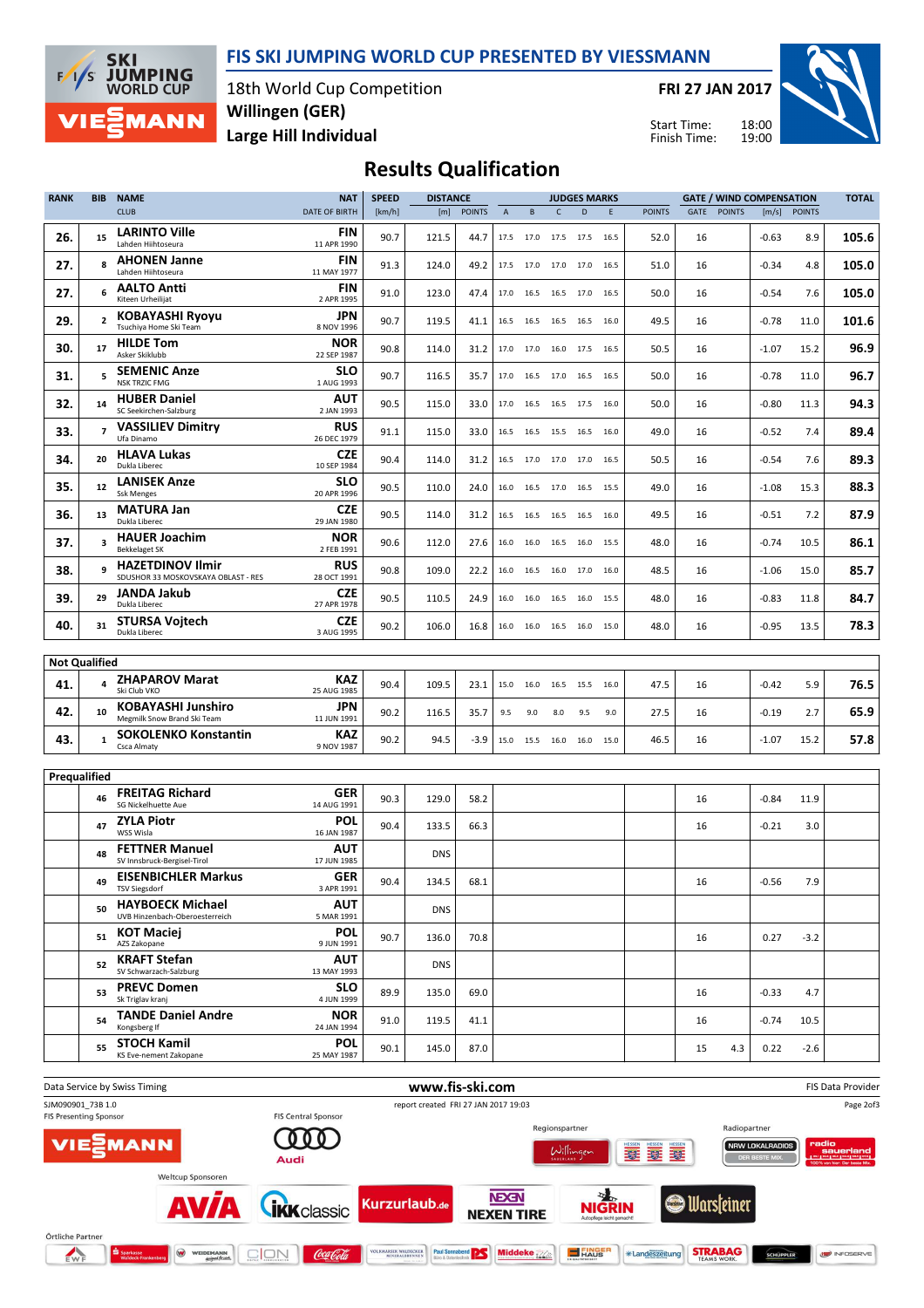



18th World Cup Competition Large Hill Individual Willingen (GER)

FRI 27 JAN 2017

Start Time: Finish Time:



# Results Qualification

| <b>RANK</b>          | <b>BIB</b>               | <b>NAME</b>                                                    | <b>NAT</b>                | <b>SPEED</b> | <b>DISTANCE</b> |               |                | <b>JUDGES MARKS</b> |      |                              |      | <b>GATE / WIND COMPENSATION</b> |      |               |         |               |                   |
|----------------------|--------------------------|----------------------------------------------------------------|---------------------------|--------------|-----------------|---------------|----------------|---------------------|------|------------------------------|------|---------------------------------|------|---------------|---------|---------------|-------------------|
|                      |                          | <b>CLUB</b>                                                    | <b>DATE OF BIRTH</b>      | [km/h]       | [m]             | <b>POINTS</b> | $\overline{A}$ | B                   | C    | D                            | E    | <b>POINTS</b>                   | GATE | <b>POINTS</b> | [m/s]   | <b>POINTS</b> |                   |
| 26.                  | 15                       | <b>LARINTO Ville</b><br>Lahden Hiihtoseura                     | FIN<br>11 APR 1990        | 90.7         | 121.5           | 44.7          |                |                     |      | 17.5 17.0 17.5 17.5 16.5     |      | 52.0                            | 16   |               | $-0.63$ | 8.9           | 105.6             |
| 27.                  | 8                        | <b>AHONEN Janne</b><br>Lahden Hiihtoseura                      | <b>FIN</b><br>11 MAY 1977 | 91.3         | 124.0           | 49.2          |                |                     |      | 17.5 17.0 17.0 17.0 16.5     |      | 51.0                            | 16   |               | $-0.34$ | 4.8           | 105.0             |
| 27.                  | 6                        | <b>AALTO Antti</b><br>Kiteen Urheilijat                        | <b>FIN</b><br>2 APR 1995  | 91.0         | 123.0           | 47.4          |                |                     |      | 17.0 16.5 16.5 17.0 16.5     |      | 50.0                            | 16   |               | $-0.54$ | 7.6           | 105.0             |
| 29.                  | $\overline{\phantom{a}}$ | <b>KOBAYASHI Ryoyu</b><br>Tsuchiya Home Ski Team               | <b>JPN</b><br>8 NOV 1996  | 90.7         | 119.5           | 41.1          |                | 16.5 16.5           |      | 16.5 16.5 16.0               |      | 49.5                            | 16   |               | $-0.78$ | 11.0          | 101.6             |
| 30.                  | 17                       | <b>HILDE Tom</b><br>Asker Skiklubb                             | NOR<br>22 SEP 1987        | 90.8         | 114.0           | 31.2          |                | 17.0 17.0           |      | 16.0 17.5 16.5               |      | 50.5                            | 16   |               | $-1.07$ | 15.2          | 96.9              |
| 31.                  | 5                        | <b>SEMENIC Anze</b><br><b>NSK TRZIC FMG</b>                    | <b>SLO</b><br>1 AUG 1993  | 90.7         | 116.5           | 35.7          |                | 17.0 16.5           |      | 17.0 16.5 16.5               |      | 50.0                            | 16   |               | $-0.78$ | 11.0          | 96.7              |
| 32.                  | 14                       | <b>HUBER Daniel</b><br>SC Seekirchen-Salzburg                  | AUT<br>2 JAN 1993         | 90.5         | 115.0           | 33.0          |                |                     |      | 17.0  16.5  16.5  17.5  16.0 |      | 50.0                            | 16   |               | $-0.80$ | 11.3          | 94.3              |
| 33.                  | $\overline{7}$           | <b>VASSILIEV Dimitry</b><br>Ufa Dinamo                         | <b>RUS</b><br>26 DEC 1979 | 91.1         | 115.0           | 33.0          |                | 16.5 16.5           |      | 15.5 16.5 16.0               |      | 49.0                            | 16   |               | $-0.52$ | 7.4           | 89.4              |
| 34.                  | 20                       | <b>HLAVA Lukas</b><br>Dukla Liberec                            | CZE<br>10 SEP 1984        | 90.4         | 114.0           | 31.2          |                |                     |      | 16.5 17.0 17.0 17.0 16.5     |      | 50.5                            | 16   |               | $-0.54$ | 7.6           | 89.3              |
| 35.                  | 12                       | <b>LANISEK Anze</b><br><b>Ssk Menges</b>                       | <b>SLO</b><br>20 APR 1996 | 90.5         | 110.0           | 24.0          | 16.0           | 16.5                |      | 17.0 16.5 15.5               |      | 49.0                            | 16   |               | $-1.08$ | 15.3          | 88.3              |
| 36.                  | 13                       | <b>MATURA Jan</b><br>Dukla Liberec                             | <b>CZE</b><br>29 JAN 1980 | 90.5         | 114.0           | 31.2          |                | 16.5 16.5           |      | 16.5 16.5 16.0               |      | 49.5                            | 16   |               | $-0.51$ | 7.2           | 87.9              |
| 37.                  | $\overline{\mathbf{3}}$  | <b>HAUER Joachim</b><br><b>Bekkelaget SK</b>                   | <b>NOR</b><br>2 FEB 1991  | 90.6         | 112.0           | 27.6          | 16.0           | 16.0                |      | 16.5 16.0 15.5               |      | 48.0                            | 16   |               | $-0.74$ | 10.5          | 86.1              |
| 38.                  | 9                        | <b>HAZETDINOV Ilmir</b><br>SDUSHOR 33 MOSKOVSKAYA OBLAST - RES | <b>RUS</b><br>28 OCT 1991 | 90.8         | 109.0           | 22.2          | 16.0           | 16.5                |      | 16.0 17.0 16.0               |      | 48.5                            | 16   |               | $-1.06$ | 15.0          | 85.7              |
| 39.                  | 29                       | <b>JANDA Jakub</b><br>Dukla Liberec                            | <b>CZE</b><br>27 APR 1978 | 90.5         | 110.5           | 24.9          | 16.0           | 16.0                | 16.5 | 16.0                         | 15.5 | 48.0                            | 16   |               | $-0.83$ | 11.8          | 84.7              |
| 40.                  | 31                       | <b>STURSA Vojtech</b><br>Dukla Liberec                         | <b>CZE</b><br>3 AUG 1995  | 90.2         | 106.0           | 16.8          | 16.0           | 16.0                |      | 16.5 16.0 15.0               |      | 48.0                            | 16   |               | $-0.95$ | 13.5          | 78.3              |
| <b>Not Qualified</b> |                          |                                                                |                           |              |                 |               |                |                     |      |                              |      |                                 |      |               |         |               |                   |
| 41.                  | 4                        | <b>ZHAPAROV Marat</b>                                          | KAZ                       | 90.4         | 109.5           | 23.1          |                |                     |      | 15.0 16.0 16.5 15.5 16.0     |      | 47.5                            | 16   |               | $-0.42$ | 5.9           | 76.5              |
| 42.                  | 10                       | Ski Club VKO<br><b>KOBAYASHI Junshiro</b>                      | 25 AUG 1985<br><b>JPN</b> | 90.2         | 116.5           | 35.7          | 9.5            | 9.0                 | 8.0  | 9.5                          | 9.0  | 27.5                            | 16   |               | $-0.19$ | 2.7           | 65.9              |
| 43.                  | $\mathbf{1}$             | Megmilk Snow Brand Ski Team<br><b>SOKOLENKO Konstantin</b>     | 11 JUN 1991<br>KAZ        | 90.2         | 94.5            | $-3.9$        |                |                     |      | 15.0 15.5 16.0 16.0 15.0     |      | 46.5                            | 16   |               | $-1.07$ | 15.2          | 57.8              |
|                      |                          | <b>Csca Almaty</b>                                             | 9 NOV 1987                |              |                 |               |                |                     |      |                              |      |                                 |      |               |         |               |                   |
| Prequalified         |                          |                                                                |                           |              |                 |               |                |                     |      |                              |      |                                 |      |               |         |               |                   |
|                      | 46                       | <b>FREITAG Richard</b><br>SG Nickelhuette Aue                  | <b>GER</b><br>14 AUG 1991 | 90.3         | 129.0           | 58.2          |                |                     |      |                              |      |                                 | 16   |               | $-0.84$ | 11.9          |                   |
|                      | 47                       | <b>ZYLA Piotr</b><br>WSS Wisla                                 | <b>POL</b><br>16 JAN 1987 | 90.4         | 133.5           | 66.3          |                |                     |      |                              |      |                                 | 16   |               | $-0.21$ | 3.0           |                   |
|                      | 48                       | <b>FETTNER Manuel</b><br>SV Innsbruck-Bergisel-Tirol           | <b>AUT</b><br>17 JUN 1985 |              | <b>DNS</b>      |               |                |                     |      |                              |      |                                 |      |               |         |               |                   |
|                      | 49                       | <b>EISENBICHLER Markus</b><br>TSV Siegsdorf                    | <b>GER</b><br>3 APR 1991  | 90.4         | 134.5           | 68.1          |                |                     |      |                              |      |                                 | 16   |               | $-0.56$ | 7.9           |                   |
|                      | 50                       | <b>HAYBOECK Michael</b><br>UVB Hinzenbach-Oberoesterreich      | <b>AUT</b><br>5 MAR 1991  |              | <b>DNS</b>      |               |                |                     |      |                              |      |                                 |      |               |         |               |                   |
|                      | 51                       | <b>KOT Maciej</b><br>AZS Zakopane                              | <b>POL</b><br>9 JUN 1991  | 90.7         | 136.0           | 70.8          |                |                     |      |                              |      |                                 | 16   |               | 0.27    | $-3.2$        |                   |
|                      | 52                       | <b>KRAFT Stefan</b><br>SV Schwarzach-Salzburg                  | <b>AUT</b><br>13 MAY 1993 |              | <b>DNS</b>      |               |                |                     |      |                              |      |                                 |      |               |         |               |                   |
|                      | 53                       | <b>PREVC Domen</b><br>Sk Triglav kranj                         | <b>SLO</b><br>4 JUN 1999  | 89.9         | 135.0           | 69.0          |                |                     |      |                              |      |                                 | 16   |               | $-0.33$ | 4.7           |                   |
|                      | 54                       | <b>TANDE Daniel Andre</b><br>Kongsberg If                      | NOR<br>24 JAN 1994        | 91.0         | 119.5           | 41.1          |                |                     |      |                              |      |                                 | 16   |               | $-0.74$ | 10.5          |                   |
|                      | 55                       | <b>STOCH Kamil</b><br>KS Eve-nement Zakopane                   | <b>POL</b><br>25 MAY 1987 | 90.1         | 145.0           | 87.0          |                |                     |      |                              |      |                                 | 15   | 4.3           | 0.22    | $-2.6$        |                   |
|                      |                          |                                                                |                           |              |                 |               |                |                     |      |                              |      |                                 |      |               |         |               |                   |
|                      |                          | Data Service by Swiss Timing                                   |                           |              | www.fis-ski.com |               |                |                     |      |                              |      |                                 |      |               |         |               | FIS Data Provider |